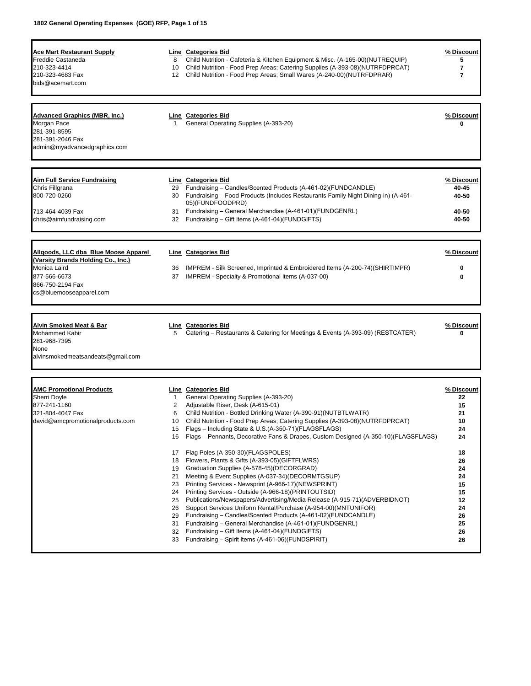| <b>Ace Mart Restaurant Supply</b>                                          |              | Line Categories Bid                                                                | % Discount |
|----------------------------------------------------------------------------|--------------|------------------------------------------------------------------------------------|------------|
| Freddie Castaneda                                                          | 8            | Child Nutrition - Cafeteria & Kitchen Equipment & Misc. (A-165-00)(NUTREQUIP)      | 5          |
| 210-323-4414                                                               | 10           | Child Nutrition - Food Prep Areas; Catering Supplies (A-393-08) (NUTRFDPRCAT)      | 7          |
| 210-323-4683 Fax                                                           | 12           | Child Nutrition - Food Prep Areas; Small Wares (A-240-00) (NUTRFDPRAR)             | 7          |
| bids@acemart.com                                                           |              |                                                                                    |            |
|                                                                            |              |                                                                                    |            |
|                                                                            |              |                                                                                    |            |
| <b>Advanced Graphics (MBR, Inc.)</b>                                       |              | Line Categories Bid                                                                | % Discount |
| Morgan Pace                                                                | $\mathbf{1}$ | General Operating Supplies (A-393-20)                                              | 0          |
| 281-391-8595                                                               |              |                                                                                    |            |
| 281-391-2046 Fax                                                           |              |                                                                                    |            |
| admin@myadvancedgraphics.com                                               |              |                                                                                    |            |
|                                                                            |              |                                                                                    |            |
| <b>Aim Full Service Fundraising</b>                                        |              | Line Categories Bid                                                                | % Discount |
| Chris Fillgrana                                                            | 29           | Fundraising - Candles/Scented Products (A-461-02)(FUNDCANDLE)                      | 40-45      |
| 800-720-0260                                                               | 30           | Fundraising – Food Products (Includes Restaurants Family Night Dining-in) (A-461-  | 40-50      |
|                                                                            |              | 05)(FUNDFOODPRD)                                                                   |            |
| 713-464-4039 Fax                                                           | 31           | Fundraising - General Merchandise (A-461-01)(FUNDGENRL)                            | 40-50      |
| chris@aimfundraising.com                                                   |              | 32 Fundraising - Gift Items (A-461-04)(FUNDGIFTS)                                  | 40-50      |
|                                                                            |              |                                                                                    |            |
|                                                                            |              |                                                                                    |            |
| Allgoods, LLC dba Blue Moose Apparel<br>(Varsity Brands Holding Co., Inc.) |              | Line Categories Bid                                                                | % Discount |
| Monica Laird                                                               |              | IMPREM - Silk Screened, Imprinted & Embroidered Items (A-200-74)(SHIRTIMPR)        |            |
|                                                                            | 36           |                                                                                    | 0          |
| 877-566-6673                                                               |              | 37 IMPREM - Specialty & Promotional Items (A-037-00)                               | 0          |
| 866-750-2194 Fax                                                           |              |                                                                                    |            |
| cs@bluemooseapparel.com                                                    |              |                                                                                    |            |
|                                                                            |              |                                                                                    |            |
| <u>Alvin Smoked Meat &amp; Bar</u>                                         |              | <b>Line Categories Bid</b>                                                         | % Discount |
| <b>Mohammed Kabir</b>                                                      | 5            | Catering – Restaurants & Catering for Meetings & Events (A-393-09) (RESTCATER)     | 0          |
| 281-968-7395                                                               |              |                                                                                    |            |
| None                                                                       |              |                                                                                    |            |
| alvinsmokedmeatsandeats@gmail.com                                          |              |                                                                                    |            |
|                                                                            |              |                                                                                    |            |
|                                                                            |              |                                                                                    |            |
| <b>AMC Promotional Products</b>                                            |              | Line Categories Bid                                                                | % Discount |
| <b>Sherri Doyle</b>                                                        | 1            | General Operating Supplies (A-393-20)                                              | 22         |
| 877-241-1160                                                               | 2            | Adjustable Riser, Desk (A-615-01)                                                  | 15         |
| 321-804-4047 Fax                                                           | 6            | Child Nutrition - Bottled Drinking Water (A-390-91)(NUTBTLWATR)                    | 21         |
| david@amcpromotionalproducts.com                                           | 10           | Child Nutrition - Food Prep Areas; Catering Supplies (A-393-08) (NUTRFDPRCAT)      | 10         |
|                                                                            | 15           | Flags – Including State & U.S.(A-350-71)(FLAGSFLAGS)                               | 24         |
|                                                                            | 16           | Flags - Pennants, Decorative Fans & Drapes, Custom Designed (A-350-10)(FLAGSFLAGS) | 24         |
|                                                                            | 17           | Flag Poles (A-350-30)(FLAGSPOLES)                                                  | 18         |
|                                                                            | 18           | Flowers, Plants & Gifts (A-393-05)(GIFTFLWRS)                                      | 26         |
|                                                                            | 19           | Graduation Supplies (A-578-45) (DECORGRAD)                                         | 24         |
|                                                                            | 21           | Meeting & Event Supplies (A-037-34)(DECORMTGSUP)                                   | 24         |
|                                                                            | 23           | Printing Services - Newsprint (A-966-17)(NEWSPRINT)                                | 15         |
|                                                                            | 24           | Printing Services - Outside (A-966-18) (PRINTOUTSID)                               | 15         |
|                                                                            | 25           | Publications/Newspapers/Advertising/Media Release (A-915-71)(ADVERBIDNOT)          | 12         |
|                                                                            | 26           | Support Services Uniform Rental/Purchase (A-954-00)(MNTUNIFOR)                     | 24         |
|                                                                            | 29           | Fundraising – Candles/Scented Products (A-461-02)(FUNDCANDLE)                      | 26         |
|                                                                            | 31           | Fundraising - General Merchandise (A-461-01)(FUNDGENRL)                            | 25         |
|                                                                            | 32           | Fundraising - Gift Items (A-461-04)(FUNDGIFTS)                                     | 26         |
|                                                                            | 33           | Fundraising - Spirit Items (A-461-06)(FUNDSPIRIT)                                  | 26         |
|                                                                            |              |                                                                                    |            |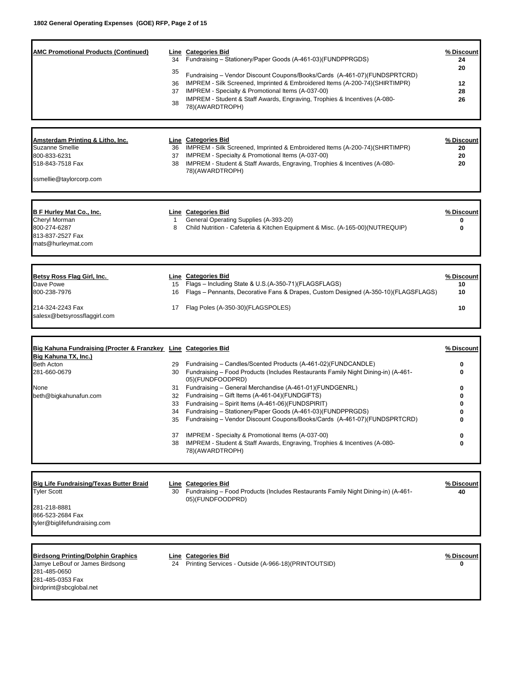| <b>AMC Promotional Products (Continued)</b><br>Amsterdam Printing & Litho, Inc.<br><b>Suzanne Smellie</b><br>800-833-6231<br>518-843-7518 Fax<br>ssmellie@taylorcorp.com | 34<br>35<br>36<br>37<br>38 | Line Categories Bid<br>Fundraising - Stationery/Paper Goods (A-461-03)(FUNDPPRGDS)<br>Fundraising - Vendor Discount Coupons/Books/Cards (A-461-07)(FUNDSPRTCRD)<br>IMPREM - Silk Screened, Imprinted & Embroidered Items (A-200-74)(SHIRTIMPR)<br>IMPREM - Specialty & Promotional Items (A-037-00)<br>IMPREM - Student & Staff Awards, Engraving, Trophies & Incentives (A-080-<br>78)(AWARDTROPH)<br>Line Categories Bid<br>36 IMPREM - Silk Screened, Imprinted & Embroidered Items (A-200-74)(SHIRTIMPR)<br>37 IMPREM - Specialty & Promotional Items (A-037-00)<br>38 IMPREM - Student & Staff Awards, Engraving, Trophies & Incentives (A-080-<br>78)(AWARDTROPH) | % Discount<br>24<br>20<br>12<br>28<br>26<br>% Discount<br>20<br>20<br>20 |
|--------------------------------------------------------------------------------------------------------------------------------------------------------------------------|----------------------------|-------------------------------------------------------------------------------------------------------------------------------------------------------------------------------------------------------------------------------------------------------------------------------------------------------------------------------------------------------------------------------------------------------------------------------------------------------------------------------------------------------------------------------------------------------------------------------------------------------------------------------------------------------------------------|--------------------------------------------------------------------------|
| B F Hurley Mat Co., Inc.<br>Chervl Morman<br>800-274-6287<br>813-837-2527 Fax<br>mats@hurleymat.com                                                                      | $\mathbf{1}$<br>8          | Line Categories Bid<br>General Operating Supplies (A-393-20)<br>Child Nutrition - Cafeteria & Kitchen Equipment & Misc. (A-165-00)(NUTREQUIP)                                                                                                                                                                                                                                                                                                                                                                                                                                                                                                                           | % Discount<br>0<br>0                                                     |
| Betsy Ross Flag Girl, Inc.<br>Dave Powe<br>800-238-7976<br>214-324-2243 Fax<br>salesx@betsyrossflaggirl.com                                                              | 15<br>16<br>17             | <b>Line Categories Bid</b><br>Flags - Including State & U.S.(A-350-71)(FLAGSFLAGS)<br>Flags - Pennants, Decorative Fans & Drapes, Custom Designed (A-350-10)(FLAGSFLAGS)<br>Flag Poles (A-350-30)(FLAGSPOLES)                                                                                                                                                                                                                                                                                                                                                                                                                                                           | % Discount<br>10<br>10<br>10                                             |
| Big Kahuna Fundraising (Procter & Franzkey Line Categories Bid<br>Big Kahuna TX, Inc.)<br><b>Beth Acton</b><br>281-660-0679<br>None<br>beth@bigkahunafun.com             | 29<br>31<br>34<br>37<br>38 | Fundraising - Candles/Scented Products (A-461-02)(FUNDCANDLE)<br>30 Fundraising - Food Products (Includes Restaurants Family Night Dining-in) (A-461-<br>05)(FUNDFOODPRD)<br>Fundraising - General Merchandise (A-461-01)(FUNDGENRL)<br>32 Fundraising - Gift Items (A-461-04)(FUNDGIFTS)<br>33 Fundraising - Spirit Items (A-461-06)(FUNDSPIRIT)<br>Fundraising - Stationery/Paper Goods (A-461-03)(FUNDPPRGDS)<br>35 Fundraising - Vendor Discount Coupons/Books/Cards (A-461-07)(FUNDSPRTCRD)<br>IMPREM - Specialty & Promotional Items (A-037-00)<br>IMPREM - Student & Staff Awards, Engraving, Trophies & Incentives (A-080-<br>78)(AWARDTROPH)                   | % Discount<br>0<br>0<br>0<br>0<br>0<br>0<br>0<br>0<br>$\bf{0}$           |
| <b>Big Life Fundraising/Texas Butter Braid</b><br><b>Tyler Scott</b><br>281-218-8881<br>866-523-2684 Fax<br>tyler@biglifefundraising.com                                 | 30                         | Line Categories Bid<br>Fundraising - Food Products (Includes Restaurants Family Night Dining-in) (A-461-<br>05)(FUNDFOODPRD)                                                                                                                                                                                                                                                                                                                                                                                                                                                                                                                                            | % Discount<br>40                                                         |
| <b>Birdsong Printing/Dolphin Graphics</b><br>Jamye LeBouf or James Birdsong<br>281-485-0650<br>281-485-0353 Fax<br>birdprint@sbcglobal.net                               | 24                         | Line Categories Bid<br>Printing Services - Outside (A-966-18)(PRINTOUTSID)                                                                                                                                                                                                                                                                                                                                                                                                                                                                                                                                                                                              | % Discount<br>0                                                          |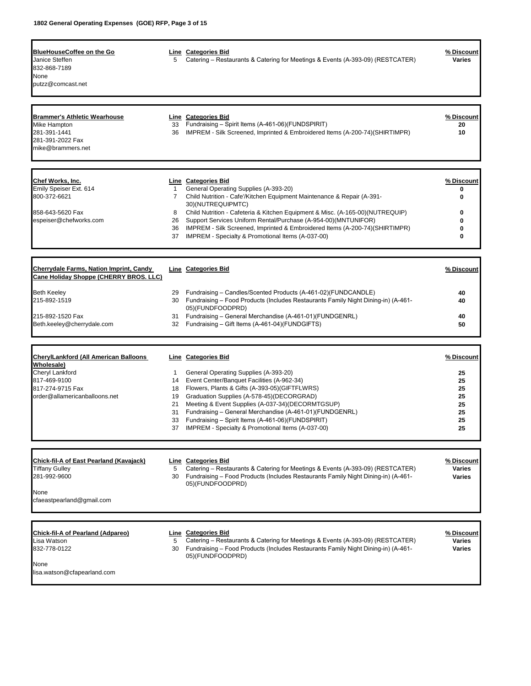| <b>BlueHouseCoffee on the Go</b><br>Janice Steffen<br>832-868-7189<br>None<br>putzz@comcast.net                                                    | 5                                                      | Line Categories Bid<br>Catering - Restaurants & Catering for Meetings & Events (A-393-09) (RESTCATER)                                                                                                                                                                                                                                                                                                                                               | % Discount<br><b>Varies</b>                                |
|----------------------------------------------------------------------------------------------------------------------------------------------------|--------------------------------------------------------|-----------------------------------------------------------------------------------------------------------------------------------------------------------------------------------------------------------------------------------------------------------------------------------------------------------------------------------------------------------------------------------------------------------------------------------------------------|------------------------------------------------------------|
| <b>Brammer's Athletic Wearhouse</b><br>Mike Hampton<br>281-391-1441<br>281-391-2022 Fax<br>mike@brammers.net                                       | 36                                                     | Line Categories Bid<br>33 Fundraising - Spirit Items (A-461-06)(FUNDSPIRIT)<br>IMPREM - Silk Screened, Imprinted & Embroidered Items (A-200-74)(SHIRTIMPR)                                                                                                                                                                                                                                                                                          | % Discount<br>20<br>10                                     |
| Chef Works, Inc.<br>Emily Speiser Ext. 614<br>800-372-6621<br>858-643-5620 Fax<br>espeiser@chefworks.com                                           | $\mathbf{1}$<br>$\overline{7}$<br>8<br>26<br>36<br>37  | Line Categories Bid<br>General Operating Supplies (A-393-20)<br>Child Nutrition - Cafe'/Kitchen Equipment Maintenance & Repair (A-391-<br>30)(NUTREQUIPMTC)<br>Child Nutrition - Cafeteria & Kitchen Equipment & Misc. (A-165-00)(NUTREQUIP)<br>Support Services Uniform Rental/Purchase (A-954-00)(MNTUNIFOR)<br>IMPREM - Silk Screened, Imprinted & Embroidered Items (A-200-74) (SHIRTIMPR)<br>IMPREM - Specialty & Promotional Items (A-037-00) | % Discount<br>0<br>0<br>0<br>$\mathbf{0}$<br>0<br>0        |
| <b>Cherrydale Farms, Nation Imprint, Candy</b><br>Cane Holiday Shoppe (CHERRY BROS. LLC)                                                           |                                                        | Line Categories Bid                                                                                                                                                                                                                                                                                                                                                                                                                                 | % Discount                                                 |
| <b>Beth Keeley</b><br>215-892-1519<br>215-892-1520 Fax<br>Beth.keeley@cherrydale.com                                                               | 29<br>30<br>31                                         | Fundraising - Candles/Scented Products (A-461-02)(FUNDCANDLE)<br>Fundraising – Food Products (Includes Restaurants Family Night Dining-in) (A-461-<br>05)(FUNDFOODPRD)<br>Fundraising - General Merchandise (A-461-01)(FUNDGENRL)<br>32 Fundraising - Gift Items (A-461-04)(FUNDGIFTS)                                                                                                                                                              | 40<br>40<br>40<br>50                                       |
| <b>CherylLankford (All American Balloons</b><br>Wholesale)<br>Cheryl Lankford<br>817-469-9100<br>817-274-9715 Fax<br>order@allamericanballoons.net | $\mathbf{1}$<br>14<br>18<br>19<br>21<br>31<br>33<br>37 | Line Categories Bid<br>General Operating Supplies (A-393-20)<br>Event Center/Banquet Facilities (A-962-34)<br>Flowers, Plants & Gifts (A-393-05)(GIFTFLWRS)<br>Graduation Supplies (A-578-45) (DECORGRAD)<br>Meeting & Event Supplies (A-037-34)(DECORMTGSUP)<br>Fundraising - General Merchandise (A-461-01)(FUNDGENRL)<br>Fundraising - Spirit Items (A-461-06)(FUNDSPIRIT)<br>IMPREM - Specialty & Promotional Items (A-037-00)                  | % Discount<br>25<br>25<br>25<br>25<br>25<br>25<br>25<br>25 |
| <b>Chick-fil-A of East Pearland (Kavajack)</b><br>Tiffany Gulley<br>281-992-9600<br>None<br>cfaeastpearland@gmail.com                              | 5                                                      | Line Categories Bid<br>Catering – Restaurants & Catering for Meetings & Events (A-393-09) (RESTCATER)<br>30 Fundraising - Food Products (Includes Restaurants Family Night Dining-in) (A-461-<br>05)(FUNDFOODPRD)                                                                                                                                                                                                                                   | % Discount<br><b>Varies</b><br><b>Varies</b>               |
| Chick-fil-A of Pearland (Adpareo)<br>Lisa Watson<br>832-778-0122<br>None<br>lisa.watson@cfapearland.com                                            | 5<br>30                                                | Line Categories Bid<br>Catering – Restaurants & Catering for Meetings & Events (A-393-09) (RESTCATER)<br>Fundraising - Food Products (Includes Restaurants Family Night Dining-in) (A-461-<br>05)(FUNDFOODPRD)                                                                                                                                                                                                                                      | % Discount<br><b>Varies</b><br>Varies                      |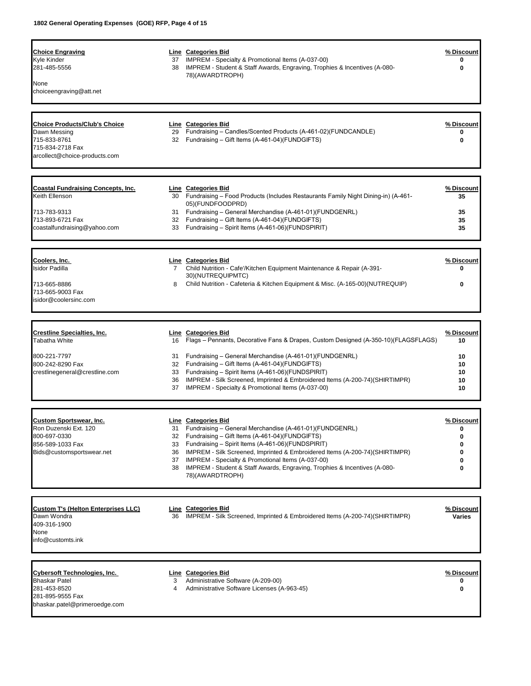| <b>Choice Engraving</b><br>Kyle Kinder<br>281-485-5556                                                                           |                                  | Line Categories Bid<br>37 IMPREM - Specialty & Promotional Items (A-037-00)<br>38 IMPREM - Student & Staff Awards, Engraving, Trophies & Incentives (A-080-                                                                                                                                                                                                                                                                        | % Discount<br>0                                |
|----------------------------------------------------------------------------------------------------------------------------------|----------------------------------|------------------------------------------------------------------------------------------------------------------------------------------------------------------------------------------------------------------------------------------------------------------------------------------------------------------------------------------------------------------------------------------------------------------------------------|------------------------------------------------|
| None<br>choiceengraving@att.net                                                                                                  |                                  | 78)(AWARDTROPH)                                                                                                                                                                                                                                                                                                                                                                                                                    |                                                |
| <b>Choice Products/Club's Choice</b><br>Dawn Messing<br>715-833-8761<br>715-834-2718 Fax<br>arcollect@choice-products.com        | 29                               | Line Categories Bid<br>Fundraising - Candles/Scented Products (A-461-02)(FUNDCANDLE)<br>32 Fundraising - Gift Items (A-461-04)(FUNDGIFTS)                                                                                                                                                                                                                                                                                          | % Discount<br>0<br>0                           |
| <b>Coastal Fundraising Concepts, Inc.</b><br>Keith Ellenson<br>713-783-9313<br>713-893-6721 Fax<br>coastalfundraising@yahoo.com  |                                  | Line Categories Bid<br>30 Fundraising – Food Products (Includes Restaurants Family Night Dining-in) (A-461-<br>05)(FUNDFOODPRD)<br>31 Fundraising - General Merchandise (A-461-01)(FUNDGENRL)<br>32 Fundraising - Gift Items (A-461-04)(FUNDGIFTS)<br>33 Fundraising - Spirit Items (A-461-06)(FUNDSPIRIT)                                                                                                                         | % Discount<br>35<br>35<br>35<br>35             |
| Coolers, Inc.<br><b>Isidor Padilla</b><br>713-665-8886<br>713-665-9003 Fax<br>isidor@coolersinc.com                              | 8                                | Line Categories Bid<br>7 Child Nutrition - Cafe'/Kitchen Equipment Maintenance & Repair (A-391-<br>30)(NUTREQUIPMTC)<br>Child Nutrition - Cafeteria & Kitchen Equipment & Misc. (A-165-00)(NUTREQUIP)                                                                                                                                                                                                                              | % Discount<br>0                                |
| <b>Crestline Specialties, Inc.</b><br>Tabatha White<br>800-221-7797<br>800-242-8290 Fax<br>crestlinegeneral@crestline.com        |                                  | Line Categories Bid<br>16 Flags – Pennants, Decorative Fans & Drapes, Custom Designed (A-350-10)(FLAGSFLAGS)<br>31 Fundraising - General Merchandise (A-461-01) (FUNDGENRL)<br>32 Fundraising - Gift Items (A-461-04)(FUNDGIFTS)<br>33 Fundraising - Spirit Items (A-461-06)(FUNDSPIRIT)<br>36 IMPREM - Silk Screened, Imprinted & Embroidered Items (A-200-74)(SHIRTIMPR)<br>37 IMPREM - Specialty & Promotional Items (A-037-00) | % Discount<br>10<br>10<br>10<br>10<br>10<br>10 |
| <b>Custom Sportswear, Inc.</b><br>Ron Duzenski Ext. 120<br>800-697-0330<br>856-589-1033 Fax<br>Bids@customsportswear.net         | 31<br>32<br>33<br>36<br>37<br>38 | Line Categories Bid<br>Fundraising – General Merchandise (A-461-01)(FUNDGENRL)<br>Fundraising – Gift Items (A-461-04)(FUNDGIFTS)<br>Fundraising – Spirit Items (A-461-06)(FUNDSPIRIT)<br>IMPREM - Silk Screened, Imprinted & Embroidered Items (A-200-74)(SHIRTIMPR)<br>IMPREM - Specialty & Promotional Items (A-037-00)<br>IMPREM - Student & Staff Awards, Engraving, Trophies & Incentives (A-080-<br>78)(AWARDTROPH)          | % Discount<br>0<br>0<br>0                      |
| <b>Custom T's (Helton Enterprises LLC)</b><br>Dawn Wondra<br>409-316-1900<br>None<br>info@customts.ink                           | 36                               | Line Categories Bid<br>IMPREM - Silk Screened, Imprinted & Embroidered Items (A-200-74)(SHIRTIMPR)                                                                                                                                                                                                                                                                                                                                 | % Discount<br>Varies                           |
| <b>Cybersoft Technologies, Inc.</b><br><b>Bhaskar Patel</b><br>281-453-8520<br>281-895-9555 Fax<br>bhaskar.patel@primeroedge.com | 3<br>4                           | <b>Line Categories Bid</b><br>Administrative Software (A-209-00)<br>Administrative Software Licenses (A-963-45)                                                                                                                                                                                                                                                                                                                    | <u>% Discount</u><br>0<br>0                    |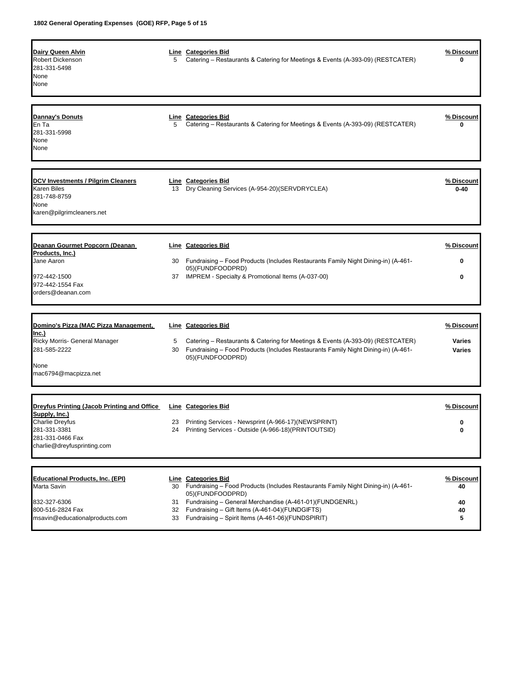| <b>Dairy Queen Alvin</b><br>Robert Dickenson<br>281-331-5498<br>None<br>None                                         | 5       | <b>Line Categories Bid</b><br>Catering – Restaurants & Catering for Meetings & Events (A-393-09) (RESTCATER)                                                                            | % Discount<br>0                |
|----------------------------------------------------------------------------------------------------------------------|---------|-----------------------------------------------------------------------------------------------------------------------------------------------------------------------------------------|--------------------------------|
| Dannay's Donuts<br>En Ta<br>281-331-5998<br>None<br>None                                                             | 5       | <b>Line</b> Categories Bid<br>Catering – Restaurants & Catering for Meetings & Events (A-393-09) (RESTCATER)                                                                            | <u>% Discount</u><br>0         |
| <b>DCV Investments / Pilgrim Cleaners</b><br><b>Karen Biles</b><br>281-748-8759<br>None<br>karen@pilgrimcleaners.net | 13      | Line Categories Bid<br>Dry Cleaning Services (A-954-20)(SERVDRYCLEA)                                                                                                                    | % Discount<br>0-40             |
| Deanan Gourmet Popcorn (Deanan                                                                                       |         | <b>Line</b> Categories Bid                                                                                                                                                              | % Discount                     |
| Products, Inc.)<br>Jane Aaron                                                                                        | 30      | Fundraising - Food Products (Includes Restaurants Family Night Dining-in) (A-461-                                                                                                       | 0                              |
|                                                                                                                      |         | 05)(FUNDFOODPRD)                                                                                                                                                                        |                                |
| 972-442-1500<br>972-442-1554 Fax<br>orders@deanan.com                                                                |         | 37 IMPREM - Specialty & Promotional Items (A-037-00)                                                                                                                                    | 0                              |
|                                                                                                                      |         |                                                                                                                                                                                         |                                |
| Domino's Pizza (MAC Pizza Management,                                                                                |         | <b>Line Categories Bid</b>                                                                                                                                                              | <u>% Discount</u>              |
| Inc.)<br>Ricky Morris- General Manager<br>281-585-2222                                                               | 5<br>30 | Catering – Restaurants & Catering for Meetings & Events (A-393-09) (RESTCATER)<br>Fundraising - Food Products (Includes Restaurants Family Night Dining-in) (A-461-<br>05)(FUNDFOODPRD) | <b>Varies</b><br><b>Varies</b> |
| None<br>mac6794@macpizza.net                                                                                         |         |                                                                                                                                                                                         |                                |
|                                                                                                                      |         |                                                                                                                                                                                         |                                |
| <b>Dreyfus Printing (Jacob Printing and Office</b>                                                                   |         | Line Categories Bid                                                                                                                                                                     | % Discount                     |
| <u>Supply, Inc.)</u><br>Charlie Dreyfus                                                                              | 23      | Printing Services - Newsprint (A-966-17) (NEWSPRINT)                                                                                                                                    | 0                              |
| 281-331-3381<br>281-331-0466 Fax<br>charlie@dreyfusprinting.com                                                      |         | 24 Printing Services - Outside (A-966-18) (PRINTOUTSID)                                                                                                                                 |                                |
|                                                                                                                      |         |                                                                                                                                                                                         |                                |
| <b>Educational Products, Inc. (EPI)</b><br>Marta Savin                                                               | 30      | Line Categories Bid<br>Fundraising - Food Products (Includes Restaurants Family Night Dining-in) (A-461-<br>05)(FUNDFOODPRD)                                                            | % Discount<br>40               |
| 832-327-6306                                                                                                         | 31      | Fundraising - General Merchandise (A-461-01)(FUNDGENRL)                                                                                                                                 | 40                             |
| 800-516-2824 Fax<br>msavin@educationalproducts.com                                                                   | 32      | Fundraising - Gift Items (A-461-04)(FUNDGIFTS)<br>Fundraising - Spirit Items (A-461-06)(FUNDSPIRIT)                                                                                     | 40                             |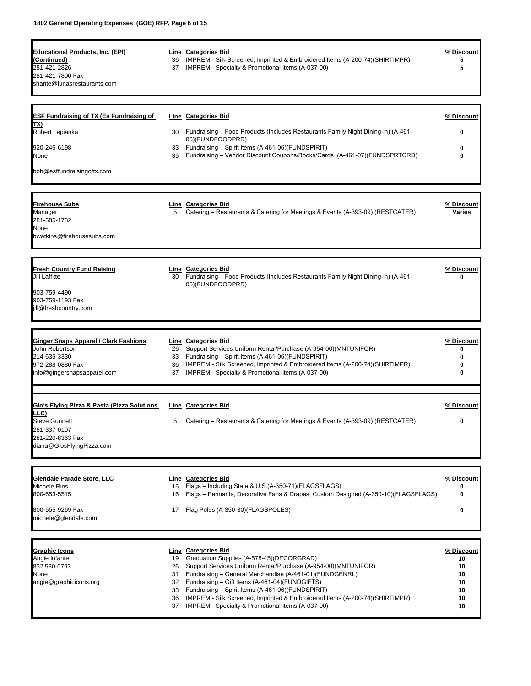| <b>Educational Products, Inc. (EPI)</b><br>(Continued) |          | Line Categories Bid<br>36 IMPREM - Silk Screened, Imprinted & Embroidered Items (A-200-74)(SHIRTIMPR)                                      | % Discount<br>5   |
|--------------------------------------------------------|----------|--------------------------------------------------------------------------------------------------------------------------------------------|-------------------|
| 281-421-2826                                           |          | 37 IMPREM - Specialty & Promotional Items (A-037-00)                                                                                       | 5                 |
| 281-421-7800 Fax                                       |          |                                                                                                                                            |                   |
| shante@lunasrestaurants.com                            |          |                                                                                                                                            |                   |
|                                                        |          |                                                                                                                                            |                   |
| <b>ESF Fundraising of TX (Es Fundraising of</b><br>TX) |          | Line Categories Bid                                                                                                                        | % Discount        |
| Robert Lepianka                                        |          | 30 Fundraising – Food Products (Includes Restaurants Family Night Dining-in) (A-461-<br>05)(FUNDFOODPRD)                                   | 0                 |
| 920-246-6198                                           |          | 33 Fundraising - Spirit Items (A-461-06)(FUNDSPIRIT)                                                                                       | 0                 |
| None                                                   |          | 35 Fundraising - Vendor Discount Coupons/Books/Cards (A-461-07)(FUNDSPRTCRD)                                                               | 0                 |
| bob@esffundraisingoftx.com                             |          |                                                                                                                                            |                   |
| Firehouse Subs                                         |          | Line Categories Bid                                                                                                                        | % Discount        |
| Manager                                                | 5        | Catering – Restaurants & Catering for Meetings & Events (A-393-09) (RESTCATER)                                                             | Varies            |
| 281-585-1782<br>None                                   |          |                                                                                                                                            |                   |
| bwatkins@firehousesubs.com                             |          |                                                                                                                                            |                   |
| <b>Fresh Country Fund Raising</b>                      |          | Line Categories Bid                                                                                                                        | % Discount        |
| Jill Laffitte                                          |          | 30 Fundraising – Food Products (Includes Restaurants Family Night Dining-in) (A-461-                                                       |                   |
| 903-759-4490                                           |          | 05)(FUNDFOODPRD)                                                                                                                           |                   |
| 903-759-1193 Fax                                       |          |                                                                                                                                            |                   |
| jill@freshcountry.com                                  |          |                                                                                                                                            |                   |
| <b>Ginger Snaps Apparel / Clark Fashions</b>           |          | Line Categories Bid                                                                                                                        | % Discount        |
| John Robertson<br>214-635-3330                         |          | 26 Support Services Uniform Rental/Purchase (A-954-00)(MNTUNIFOR)<br>33 Fundraising - Spirit Items (A-461-06)(FUNDSPIRIT)                  | 0<br>0            |
| 972-288-0880 Fax                                       |          | 36 IMPREM - Silk Screened, Imprinted & Embroidered Items (A-200-74) (SHIRTIMPR)                                                            | 0                 |
| info@gingersnapsapparel.com                            |          | 37 IMPREM - Specialty & Promotional Items (A-037-00)                                                                                       | 0                 |
| Gioʻs Flying Pizza & Pasta (Pizza Solutions            |          | <b>Line Categories Bid</b>                                                                                                                 | % Discount        |
| <u>.LC)</u>                                            |          |                                                                                                                                            |                   |
| <b>Steve Gunnett</b><br>281-337-0107                   | 5        | Catering - Restaurants & Catering for Meetings & Events (A-393-09) (RESTCATER)                                                             | 0                 |
| 281-220-8363 Fax<br>diana@GiosFlyingPizza.com          |          |                                                                                                                                            |                   |
|                                                        |          |                                                                                                                                            |                   |
| Glendale Parade Store, LLC                             |          | <b>Line Categories Bid</b>                                                                                                                 | <u>% Discount</u> |
| Michele Rios<br>800-653-5515                           | 15<br>16 | Flags - Including State & U.S.(A-350-71)(FLAGSFLAGS)<br>Flags - Pennants, Decorative Fans & Drapes, Custom Designed (A-350-10)(FLAGSFLAGS) | 0<br>0            |
| 800-555-9269 Fax                                       | 17       | Flag Poles (A-350-30)(FLAGSPOLES)                                                                                                          | 0                 |
| michele@glendale.com                                   |          |                                                                                                                                            |                   |
| <b>Graphic Icons</b>                                   |          | <b>Line</b> Categories Bid                                                                                                                 | <u>% Discount</u> |
| Angie Infante                                          | 19       | Graduation Supplies (A-578-45)(DECORGRAD)                                                                                                  | 10                |
| 832 530-0793                                           | 26       | Support Services Uniform Rental/Purchase (A-954-00)(MNTUNIFOR)                                                                             | 10                |
| None<br>angie@graphicicons.org                         | 31       | Fundraising - General Merchandise (A-461-01)(FUNDGENRL)<br>32 Fundraising - Gift Items (A-461-04)(FUNDGIFTS)                               | 10<br>10          |
|                                                        |          | 33 Fundraising - Spirit Items (A-461-06)(FUNDSPIRIT)                                                                                       | 10                |

36 IMPREM - Silk Screened, Imprinted & Embroidered Items (A-200-74)(SHIRTIMPR) **10** 37 IMPREM - Specialty & Promotional Items (A-037-00) **10**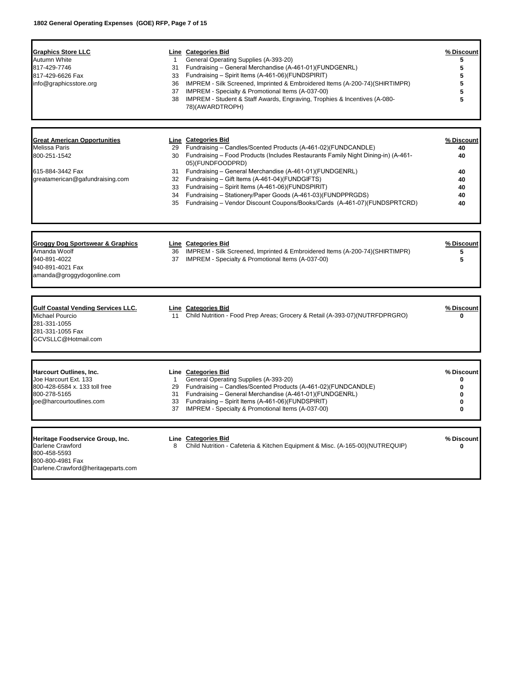Г

| <b>Graphics Store LLC</b><br>Autumn White<br>817-429-7746<br>817-429-6626 Fax<br>info@graphicsstore.org                 | $\mathbf{1}$<br>33<br>36<br>37<br>38 | Line Categories Bid<br>General Operating Supplies (A-393-20)<br>31 Fundraising - General Merchandise (A-461-01)(FUNDGENRL)<br>Fundraising - Spirit Items (A-461-06)(FUNDSPIRIT)<br>IMPREM - Silk Screened, Imprinted & Embroidered Items (A-200-74) (SHIRTIMPR)<br>IMPREM - Specialty & Promotional Items (A-037-00)<br>IMPREM - Student & Staff Awards, Engraving, Trophies & Incentives (A-080-<br>78)(AWARDTROPH) | % Discount<br>5<br>5<br>5<br>5<br>5<br>5 |
|-------------------------------------------------------------------------------------------------------------------------|--------------------------------------|----------------------------------------------------------------------------------------------------------------------------------------------------------------------------------------------------------------------------------------------------------------------------------------------------------------------------------------------------------------------------------------------------------------------|------------------------------------------|
|                                                                                                                         |                                      |                                                                                                                                                                                                                                                                                                                                                                                                                      |                                          |
| <b>Great American Opportunities</b>                                                                                     |                                      | Line Categories Bid                                                                                                                                                                                                                                                                                                                                                                                                  | % Discount                               |
| Melissa Paris<br>800-251-1542                                                                                           | 29<br>30                             | Fundraising - Candles/Scented Products (A-461-02)(FUNDCANDLE)<br>Fundraising - Food Products (Includes Restaurants Family Night Dining-in) (A-461-<br>05)(FUNDFOODPRD)                                                                                                                                                                                                                                               | 40<br>40                                 |
| 615-884-3442 Fax                                                                                                        | 31                                   | Fundraising - General Merchandise (A-461-01)(FUNDGENRL)                                                                                                                                                                                                                                                                                                                                                              | 40                                       |
| greatamerican@gafundraising.com                                                                                         |                                      | 32 Fundraising - Gift Items (A-461-04)(FUNDGIFTS)                                                                                                                                                                                                                                                                                                                                                                    | 40                                       |
|                                                                                                                         | 33<br>34                             | Fundraising - Spirit Items (A-461-06)(FUNDSPIRIT)<br>Fundraising - Stationery/Paper Goods (A-461-03)(FUNDPPRGDS)                                                                                                                                                                                                                                                                                                     | 40<br>40                                 |
|                                                                                                                         | 35                                   | Fundraising - Vendor Discount Coupons/Books/Cards (A-461-07)(FUNDSPRTCRD)                                                                                                                                                                                                                                                                                                                                            | 40                                       |
| Groggy Dog Sportswear & Graphics                                                                                        |                                      | Line Categories Bid                                                                                                                                                                                                                                                                                                                                                                                                  | % Discount                               |
| Amanda Woolf                                                                                                            |                                      | 36 IMPREM - Silk Screened, Imprinted & Embroidered Items (A-200-74)(SHIRTIMPR)                                                                                                                                                                                                                                                                                                                                       | 5                                        |
| 940-891-4022                                                                                                            |                                      | 37 IMPREM - Specialty & Promotional Items (A-037-00)                                                                                                                                                                                                                                                                                                                                                                 | 5                                        |
| 940-891-4021 Fax<br>amanda@groggydogonline.com                                                                          |                                      |                                                                                                                                                                                                                                                                                                                                                                                                                      |                                          |
| <b>Gulf Coastal Vending Services LLC.</b><br>Michael Pourcio<br>281-331-1055<br>281-331-1055 Fax<br>GCVSLLC@Hotmail.com | 11                                   | Line Categories Bid<br>Child Nutrition - Food Prep Areas; Grocery & Retail (A-393-07)(NUTRFDPRGRO)                                                                                                                                                                                                                                                                                                                   | % Discount<br>0                          |
| Harcourt Outlines, Inc.                                                                                                 |                                      | Line Categories Bid                                                                                                                                                                                                                                                                                                                                                                                                  | % Discount                               |
| Joe Harcourt Ext. 133                                                                                                   | $\mathbf{1}$                         | General Operating Supplies (A-393-20)                                                                                                                                                                                                                                                                                                                                                                                | $\mathbf 0$                              |
| 800-428-6584 x. 133 toll free<br>800-278-5165                                                                           | 29<br>31                             | Fundraising - Candles/Scented Products (A-461-02)(FUNDCANDLE)<br>Fundraising - General Merchandise (A-461-01)(FUNDGENRL)                                                                                                                                                                                                                                                                                             | $\mathbf 0$<br>$\mathbf 0$               |
| ioe@harcourtoutlines.com                                                                                                | 33<br>37                             | Fundraising - Spirit Items (A-461-06)(FUNDSPIRIT)<br>IMPREM - Specialty & Promotional Items (A-037-00)                                                                                                                                                                                                                                                                                                               | $\mathbf{0}$<br>0                        |
|                                                                                                                         |                                      |                                                                                                                                                                                                                                                                                                                                                                                                                      |                                          |
| Heritage Foodservice Group, Inc.<br>Darlene Crawford                                                                    | 8                                    | Line Categories Bid<br>Child Nutrition - Cafeteria & Kitchen Equipment & Misc. (A-165-00)(NUTREQUIP)                                                                                                                                                                                                                                                                                                                 | % Discount<br>0                          |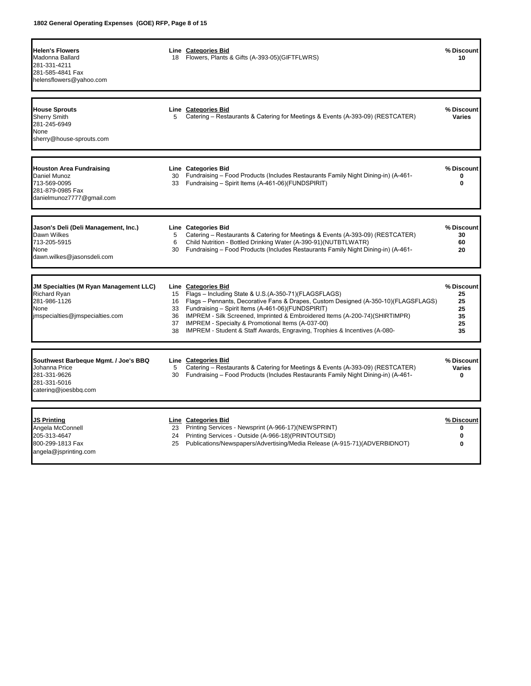| <b>Helen's Flowers</b><br>Madonna Ballard<br>281-331-4211<br>281-585-4841 Fax<br>helensflowers@yahoo.com                 |                            | <b>Line Categories Bid</b><br>18 Flowers, Plants & Gifts (A-393-05) (GIFTFLWRS)                                                                                                                                                                                                                                                                                                                                                            | % Discount<br>10                               |
|--------------------------------------------------------------------------------------------------------------------------|----------------------------|--------------------------------------------------------------------------------------------------------------------------------------------------------------------------------------------------------------------------------------------------------------------------------------------------------------------------------------------------------------------------------------------------------------------------------------------|------------------------------------------------|
| <b>House Sprouts</b><br><b>Sherry Smith</b><br>281-245-6949<br>None<br>sherry@house-sprouts.com                          | 5                          | Line Categories Bid<br>Catering - Restaurants & Catering for Meetings & Events (A-393-09) (RESTCATER)                                                                                                                                                                                                                                                                                                                                      | % Discount<br><b>Varies</b>                    |
| <b>Houston Area Fundraising</b><br>Daniel Munoz<br>713-569-0095<br>281-879-0985 Fax<br>danielmunoz7777@gmail.com         | 30<br>33                   | Line Categories Bid<br>Fundraising - Food Products (Includes Restaurants Family Night Dining-in) (A-461-<br>Fundraising - Spirit Items (A-461-06)(FUNDSPIRIT)                                                                                                                                                                                                                                                                              | % Discount<br>0<br>0                           |
| Jason's Deli (Deli Management, Inc.)<br>Dawn Wilkes<br>713-205-5915<br>None<br>dawn.wilkes@jasonsdeli.com                | 5<br>6<br>30               | <b>Line Categories Bid</b><br>Catering – Restaurants & Catering for Meetings & Events (A-393-09) (RESTCATER)<br>Child Nutrition - Bottled Drinking Water (A-390-91) (NUTBTLWATR)<br>Fundraising - Food Products (Includes Restaurants Family Night Dining-in) (A-461-                                                                                                                                                                      | % Discount<br>30<br>60<br>20                   |
| JM Specialties (M Ryan Management LLC)<br><b>Richard Ryan</b><br>281-986-1126<br>None<br>imspecialties@imspecialties.com | 15<br>16<br>36<br>37<br>38 | Line Categories Bid<br>Flags - Including State & U.S.(A-350-71)(FLAGSFLAGS)<br>Flags - Pennants, Decorative Fans & Drapes, Custom Designed (A-350-10)(FLAGSFLAGS)<br>33 Fundraising - Spirit Items (A-461-06)(FUNDSPIRIT)<br>IMPREM - Silk Screened, Imprinted & Embroidered Items (A-200-74)(SHIRTIMPR)<br>IMPREM - Specialty & Promotional Items (A-037-00)<br>IMPREM - Student & Staff Awards, Engraving, Trophies & Incentives (A-080- | % Discount<br>25<br>25<br>25<br>35<br>25<br>35 |
| Southwest Barbeque Mgmt. / Joe's BBQ<br>Johanna Price<br>281-331-9626<br>281-331-5016<br>catering@joesbbq.com            | 5<br>30                    | <b>Line Categories Bid</b><br>Catering – Restaurants & Catering for Meetings & Events (A-393-09) (RESTCATER)<br>Fundraising - Food Products (Includes Restaurants Family Night Dining-in) (A-461-                                                                                                                                                                                                                                          | % Discount<br><b>Varies</b><br>0               |
| JS Printing<br>Angela McConnell<br>205-313-4647<br>800-299-1813 Fax<br>angela@jsprinting.com                             | 23<br>24<br>25             | Line Categories Bid<br>Printing Services - Newsprint (A-966-17)(NEWSPRINT)<br>Printing Services - Outside (A-966-18) (PRINTOUTSID)<br>Publications/Newspapers/Advertising/Media Release (A-915-71)(ADVERBIDNOT)                                                                                                                                                                                                                            | % Discount<br>0<br>$\bf{0}$<br>0               |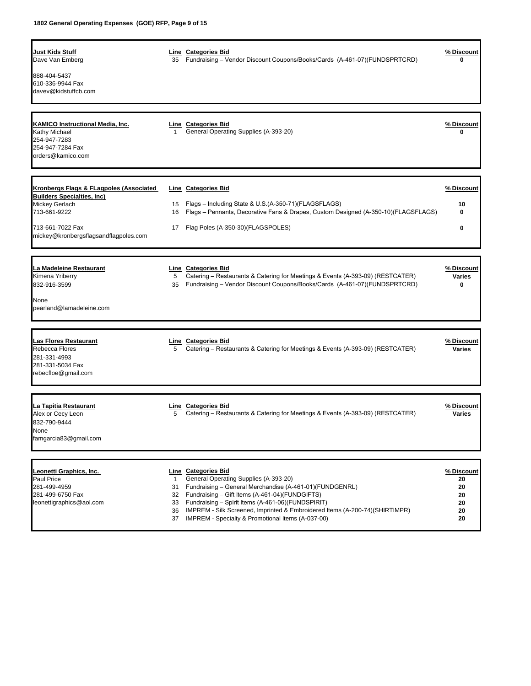| Just Kids Stuff<br>Dave Van Emberg<br>888-404-5437<br>610-336-9944 Fax<br>davev@kidstuffcb.com                                                                              | 35                        | Line Categories Bid<br>Fundraising - Vendor Discount Coupons/Books/Cards (A-461-07)(FUNDSPRTCRD)                                                                                                                                                                                                                                                                      | % Discount<br>0                                |
|-----------------------------------------------------------------------------------------------------------------------------------------------------------------------------|---------------------------|-----------------------------------------------------------------------------------------------------------------------------------------------------------------------------------------------------------------------------------------------------------------------------------------------------------------------------------------------------------------------|------------------------------------------------|
| KAMICO Instructional Media, Inc.<br>Kathy Michael<br>254-947-7283<br>254-947-7284 Fax<br>orders@kamico.com                                                                  | $\mathbf{1}$              | Line Categories Bid<br>General Operating Supplies (A-393-20)                                                                                                                                                                                                                                                                                                          | % Discount<br>0                                |
| Kronbergs Flags & FLagpoles (Associated<br><b>Builders Specialties, Inc)</b><br>Mickey Gerlach<br>713-661-9222<br>713-661-7022 Fax<br>mickey@kronbergsflagsandflagpoles.com | 15<br>16<br>17            | Line Categories Bid<br>Flags - Including State & U.S.(A-350-71)(FLAGSFLAGS)<br>Flags - Pennants, Decorative Fans & Drapes, Custom Designed (A-350-10)(FLAGSFLAGS)<br>Flag Poles (A-350-30)(FLAGSPOLES)                                                                                                                                                                | % Discount<br>10<br>$\mathbf{0}$<br>0          |
| La Madeleine Restaurant<br>Kimena Yriberry<br>832-916-3599<br>None<br>pearland@lamadeleine.com                                                                              | 5<br>35                   | Line Categories Bid<br>Catering – Restaurants & Catering for Meetings & Events (A-393-09) (RESTCATER)<br>Fundraising - Vendor Discount Coupons/Books/Cards (A-461-07)(FUNDSPRTCRD)                                                                                                                                                                                    | % Discount<br><b>Varies</b><br>$\mathbf{0}$    |
| Las Flores Restaurant<br>Rebecca Flores<br>281-331-4993<br>281-331-5034 Fax<br>rebecfloe@gmail.com                                                                          | 5                         | Line Categories Bid<br>Catering – Restaurants & Catering for Meetings & Events (A-393-09) (RESTCATER)                                                                                                                                                                                                                                                                 | % Discount<br><b>Varies</b>                    |
| La Tapitia Restaurant<br>Alex or Cecy Leon<br>832-790-9444<br>None<br>famgarcia83@gmail.com                                                                                 | 5                         | Line Categories Bid<br>Catering – Restaurants & Catering for Meetings & Events (A-393-09) (RESTCATER)                                                                                                                                                                                                                                                                 | % Discount<br>Varies                           |
| Leonetti Graphics, Inc.<br>Paul Price<br>281-499-4959<br>281-499-6750 Fax<br>leonettigraphics@aol.com                                                                       | 1<br>31<br>32<br>33<br>36 | Line Categories Bid<br>General Operating Supplies (A-393-20)<br>Fundraising - General Merchandise (A-461-01)(FUNDGENRL)<br>Fundraising - Gift Items (A-461-04)(FUNDGIFTS)<br>Fundraising - Spirit Items (A-461-06)(FUNDSPIRIT)<br>IMPREM - Silk Screened, Imprinted & Embroidered Items (A-200-74)(SHIRTIMPR)<br>37 IMPREM - Specialty & Promotional Items (A-037-00) | % Discount<br>20<br>20<br>20<br>20<br>20<br>20 |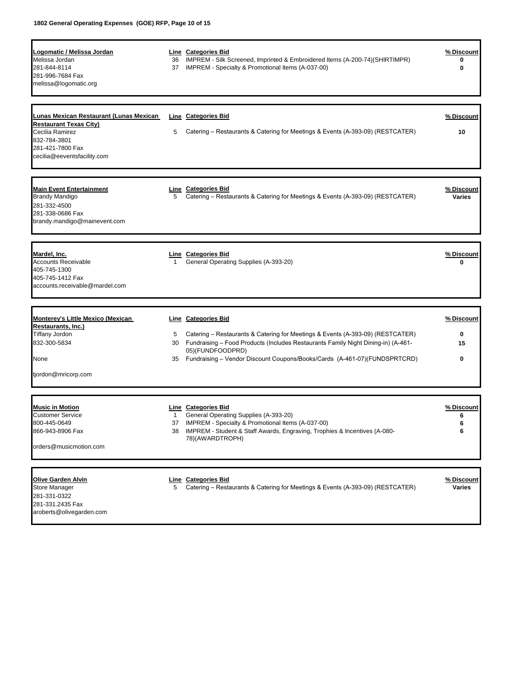| <u> Logomatic / Melissa Jordan</u><br>Melissa Jordan<br>281-844-8114<br>281-996-7684 Fax<br>melissa@logomatic.org     | 36<br>37     | <b>Line</b> Categories Bid<br>IMPREM - Silk Screened, Imprinted & Embroidered Items (A-200-74)(SHIRTIMPR)<br>IMPREM - Specialty & Promotional Items (A-037-00)      | % Discount<br>0<br>0        |
|-----------------------------------------------------------------------------------------------------------------------|--------------|---------------------------------------------------------------------------------------------------------------------------------------------------------------------|-----------------------------|
| <u> Lunas Mexican Restaurant (Lunas Mexican_</u>                                                                      |              | <b>Line</b> Categories Bid                                                                                                                                          | % Discount                  |
| <b>Restaurant Texas City)</b><br>Cecilia Ramirez<br>832-784-3801<br>281-421-7800 Fax<br>cecilia@eeventsfacility.com   | 5            | Catering – Restaurants & Catering for Meetings & Events (A-393-09) (RESTCATER)                                                                                      | 10                          |
| <b>Main Event Entertainment</b><br>Brandy Mandigo<br>281-332-4500<br>281-338-0686 Fax<br>brandy.mandigo@mainevent.com | 5            | <b>Line Categories Bid</b><br>Catering - Restaurants & Catering for Meetings & Events (A-393-09) (RESTCATER)                                                        | % Discount<br><b>Varies</b> |
| Mardel, Inc.<br><b>Accounts Receivable</b><br>405-745-1300<br>405-745-1412 Fax<br>accounts.receivable@mardel.com      | 1            | Line Categories Bid<br>General Operating Supplies (A-393-20)                                                                                                        | % Discount<br>0             |
| <b>Monterey's Little Mexico (Mexican</b>                                                                              |              | <b>Line</b> Categories Bid                                                                                                                                          | % Discount                  |
| Restaurants, Inc.)                                                                                                    |              |                                                                                                                                                                     |                             |
| Tiffany Jordon<br>832-300-5834                                                                                        | 5<br>30      | Catering - Restaurants & Catering for Meetings & Events (A-393-09) (RESTCATER)<br>Fundraising - Food Products (Includes Restaurants Family Night Dining-in) (A-461- | 0<br>15                     |
| None                                                                                                                  | 35           | 05)(FUNDFOODPRD)<br>Fundraising - Vendor Discount Coupons/Books/Cards (A-461-07)(FUNDSPRTCRD)                                                                       | 0                           |
| tjordon@mricorp.com                                                                                                   |              |                                                                                                                                                                     |                             |
| <b>Music in Motion</b>                                                                                                |              | Line Categories Bid                                                                                                                                                 | % Discount                  |
| <b>Customer Service</b>                                                                                               | $\mathbf{1}$ | General Operating Supplies (A-393-20)                                                                                                                               | 6                           |
| 800-445-0649                                                                                                          | 37           | IMPREM - Specialty & Promotional Items (A-037-00)                                                                                                                   | 6                           |
| 866-943-8906 Fax                                                                                                      | 38           | IMPREM - Student & Staff Awards, Engraving, Trophies & Incentives (A-080-<br>78)(AWARDTROPH)                                                                        | 6                           |
| orders@musicmotion.com                                                                                                |              |                                                                                                                                                                     |                             |
| <b>Olive Garden Alvin</b>                                                                                             |              | Line Categories Bid                                                                                                                                                 | % Discount                  |

281-331-0322 281-331.2435 Fax [aroberts@olivegarden.com](mailto:aroberts@olivegarden.com)

Store Manager 5 Catering – Restaurants & Catering for Meetings & Events (A-393-09) (RESTCATER) **Varies**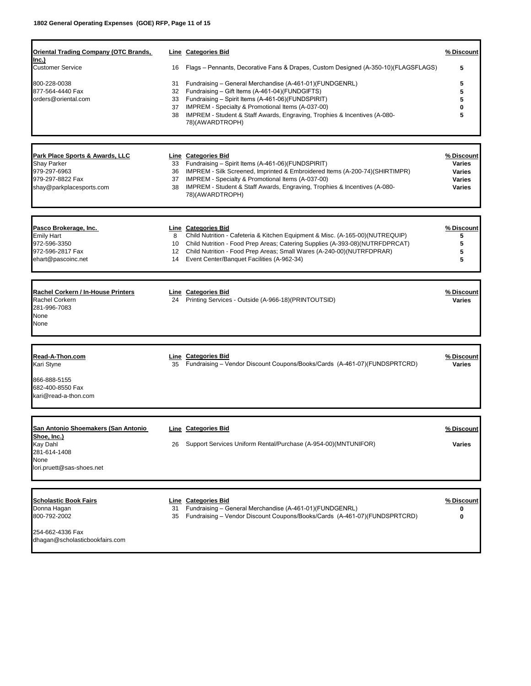| <b>Oriental Trading Company (OTC Brands,</b>            |                | <b>Line</b> Categories Bid                                                                                                                                                                                             | % Discount                  |
|---------------------------------------------------------|----------------|------------------------------------------------------------------------------------------------------------------------------------------------------------------------------------------------------------------------|-----------------------------|
| lnc.)<br><b>Customer Service</b>                        | 16             | Flags - Pennants, Decorative Fans & Drapes, Custom Designed (A-350-10)(FLAGSFLAGS)                                                                                                                                     | 5                           |
| 800-228-0038<br>877-564-4440 Fax<br>orders@oriental.com | 31<br>33<br>37 | Fundraising - General Merchandise (A-461-01)(FUNDGENRL)<br>32 Fundraising - Gift Items (A-461-04)(FUNDGIFTS)<br>Fundraising - Spirit Items (A-461-06)(FUNDSPIRIT)<br>IMPREM - Specialty & Promotional Items (A-037-00) | 5<br>5<br>5                 |
|                                                         | 38             | IMPREM - Student & Staff Awards, Engraving, Trophies & Incentives (A-080-<br>78)(AWARDTROPH)                                                                                                                           | 5                           |
|                                                         |                |                                                                                                                                                                                                                        |                             |
| Park Place Sports & Awards, LLC<br><b>Shay Parker</b>   |                | Line Categories Bid<br>33 Fundraising - Spirit Items (A-461-06)(FUNDSPIRIT)                                                                                                                                            | % Discount<br><b>Varies</b> |
| 979-297-6963                                            | 36             | IMPREM - Silk Screened, Imprinted & Embroidered Items (A-200-74)(SHIRTIMPR)                                                                                                                                            | <b>Varies</b>               |
| 979-297-8822 Fax                                        | 37             | IMPREM - Specialty & Promotional Items (A-037-00)                                                                                                                                                                      | <b>Varies</b>               |
| shay@parkplacesports.com                                | 38             | IMPREM - Student & Staff Awards, Engraving, Trophies & Incentives (A-080-<br>78)(AWARDTROPH)                                                                                                                           | <b>Varies</b>               |
|                                                         |                |                                                                                                                                                                                                                        |                             |
| Pasco Brokerage, Inc.<br><b>Emily Hart</b>              | 8              | <b>Line Categories Bid</b><br>Child Nutrition - Cafeteria & Kitchen Equipment & Misc. (A-165-00)(NUTREQUIP)                                                                                                            | <u>% Discount</u><br>5      |
| 972-596-3350                                            | 10             | Child Nutrition - Food Prep Areas; Catering Supplies (A-393-08)(NUTRFDPRCAT)                                                                                                                                           | 5                           |
| 972-596-2817 Fax                                        | 12             | Child Nutrition - Food Prep Areas; Small Wares (A-240-00)(NUTRFDPRAR)                                                                                                                                                  | 5                           |
| ehart@pascoinc.net                                      | 14             | Event Center/Banquet Facilities (A-962-34)                                                                                                                                                                             | 5                           |
|                                                         |                |                                                                                                                                                                                                                        |                             |
| Rachel Corkern / In-House Printers<br>Rachel Corkern    |                | Line Categories Bid<br>24 Printing Services - Outside (A-966-18) (PRINTOUTSID)                                                                                                                                         | % Discount                  |
| 281-996-7083                                            |                |                                                                                                                                                                                                                        | <b>Varies</b>               |
| None                                                    |                |                                                                                                                                                                                                                        |                             |
| None                                                    |                |                                                                                                                                                                                                                        |                             |
|                                                         |                |                                                                                                                                                                                                                        |                             |
| Read-A-Thon.com<br>Kari Styne                           | 35             | Line Categories Bid<br>Fundraising - Vendor Discount Coupons/Books/Cards (A-461-07)(FUNDSPRTCRD)                                                                                                                       | % Discount<br><b>Varies</b> |
| 866-888-5155<br>682-400-8550 Fax                        |                |                                                                                                                                                                                                                        |                             |
| kari@read-a-thon.com                                    |                |                                                                                                                                                                                                                        |                             |
|                                                         |                |                                                                                                                                                                                                                        |                             |
| San Antonio Shoemakers (San Antonio<br>Shoe, Inc.)      |                | <b>Line</b> Categories Bid                                                                                                                                                                                             | % Discount                  |
| Kay Dahl                                                | 26             | Support Services Uniform Rental/Purchase (A-954-00)(MNTUNIFOR)                                                                                                                                                         | <b>Varies</b>               |
| 281-614-1408                                            |                |                                                                                                                                                                                                                        |                             |
| None                                                    |                |                                                                                                                                                                                                                        |                             |
| lori.pruett@sas-shoes.net                               |                |                                                                                                                                                                                                                        |                             |
| <b>Scholastic Book Fairs</b>                            |                | Line Categories Bid                                                                                                                                                                                                    | % Discount                  |
| Donna Hagan                                             | 31             | Fundraising - General Merchandise (A-461-01)(FUNDGENRL)                                                                                                                                                                | 0                           |
| 800-792-2002                                            | 35             | Fundraising - Vendor Discount Coupons/Books/Cards (A-461-07)(FUNDSPRTCRD)                                                                                                                                              | 0                           |
| 254-662-4336 Fax                                        |                |                                                                                                                                                                                                                        |                             |
| dhagan@scholasticbookfairs.com                          |                |                                                                                                                                                                                                                        |                             |
|                                                         |                |                                                                                                                                                                                                                        |                             |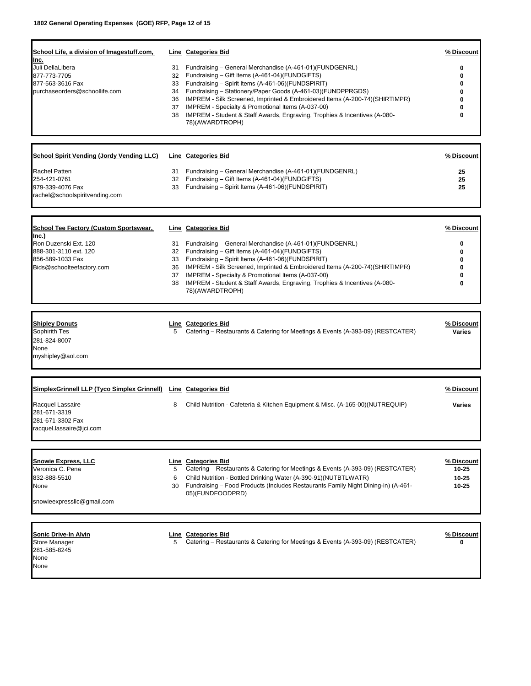| <u>School Life, a division of Imagestuff.com,</u><br>Inc.<br>Juli DellaLibera<br>877-773-7705<br>877-563-3616 Fax<br>purchaseorders@schoollife.com        | 31<br>32<br>33<br>34<br>36<br>37<br>38 | <b>Line</b> Categories Bid<br>Fundraising - General Merchandise (A-461-01)(FUNDGENRL)<br>Fundraising - Gift Items (A-461-04)(FUNDGIFTS)<br>Fundraising - Spirit Items (A-461-06)(FUNDSPIRIT)<br>Fundraising - Stationery/Paper Goods (A-461-03)(FUNDPPRGDS)<br>IMPREM - Silk Screened, Imprinted & Embroidered Items (A-200-74)(SHIRTIMPR)<br>IMPREM - Specialty & Promotional Items (A-037-00)<br>IMPREM - Student & Staff Awards, Engraving, Trophies & Incentives (A-080-<br>78)(AWARDTROPH) | % Discount<br>0<br>0<br>0<br>0<br>0             |
|-----------------------------------------------------------------------------------------------------------------------------------------------------------|----------------------------------------|-------------------------------------------------------------------------------------------------------------------------------------------------------------------------------------------------------------------------------------------------------------------------------------------------------------------------------------------------------------------------------------------------------------------------------------------------------------------------------------------------|-------------------------------------------------|
| School Spirit Vending (Jordy Vending LLC)                                                                                                                 |                                        | <b>Line Categories Bid</b>                                                                                                                                                                                                                                                                                                                                                                                                                                                                      | % Discount                                      |
| <b>Rachel Patten</b><br>254-421-0761<br>979-339-4076 Fax<br>rachel@schoolspiritvending.com                                                                | 31<br>32<br>33                         | Fundraising - General Merchandise (A-461-01)(FUNDGENRL)<br>Fundraising - Gift Items (A-461-04)(FUNDGIFTS)<br>Fundraising - Spirit Items (A-461-06)(FUNDSPIRIT)                                                                                                                                                                                                                                                                                                                                  | 25<br>25<br>25                                  |
| <u>School Tee Factory (Custom Sportswear,</u><br>lnc.)<br>Ron Duzenski Ext. 120<br>888-301-3110 ext. 120<br>856-589-1033 Fax<br>Bids@schoolteefactory.com | 31<br>33<br>36<br>37<br>38             | <b>Line Categories Bid</b><br>Fundraising - General Merchandise (A-461-01)(FUNDGENRL)<br>32 Fundraising - Gift Items (A-461-04)(FUNDGIFTS)<br>Fundraising - Spirit Items (A-461-06)(FUNDSPIRIT)<br>IMPREM - Silk Screened, Imprinted & Embroidered Items (A-200-74)(SHIRTIMPR)<br>IMPREM - Specialty & Promotional Items (A-037-00)<br>IMPREM - Student & Staff Awards, Engraving, Trophies & Incentives (A-080-<br>78)(AWARDTROPH)                                                             | <u>% Discount</u><br>0<br>0<br>0<br>0<br>0<br>0 |
| <b>Shipley Donuts</b><br>Sophirith Tes<br>281-824-8007<br>None<br>myshipley@aol.com                                                                       | 5                                      | Line Categories Bid<br>Catering – Restaurants & Catering for Meetings & Events (A-393-09) (RESTCATER)                                                                                                                                                                                                                                                                                                                                                                                           | % Discount<br><b>Varies</b>                     |
|                                                                                                                                                           |                                        |                                                                                                                                                                                                                                                                                                                                                                                                                                                                                                 |                                                 |
| SimplexGrinnell LLP (Tyco Simplex Grinnell) Line Categories Bid<br>Racquel Lassaire<br>281-671-3319<br>281-671-3302 Fax<br>racquel.lassaire@ici.com       | 8                                      | Child Nutrition - Cafeteria & Kitchen Equipment & Misc. (A-165-00)(NUTREQUIP)                                                                                                                                                                                                                                                                                                                                                                                                                   | % Discount<br><b>Varies</b>                     |
| <u>Snowie Express, LLC</u><br>Veronica C. Pena<br>832-888-5510<br>None<br>snowieexpressllc@gmail.com                                                      | 5<br>6<br>30                           | Line Categories Bid<br>Catering – Restaurants & Catering for Meetings & Events (A-393-09) (RESTCATER)<br>Child Nutrition - Bottled Drinking Water (A-390-91) (NUTBTLWATR)<br>Fundraising – Food Products (Includes Restaurants Family Night Dining-in) (A-461-<br>05)(FUNDFOODPRD)                                                                                                                                                                                                              | % Discount<br>10-25<br>$10 - 25$<br>10-25       |
| Sonic Drive-In Alvin<br>Store Manager<br>281-585-8245<br>None<br>None                                                                                     | 5                                      | <b>Line Categories Bid</b><br>Catering – Restaurants & Catering for Meetings & Events (A-393-09) (RESTCATER)                                                                                                                                                                                                                                                                                                                                                                                    | % Discount<br>ŋ                                 |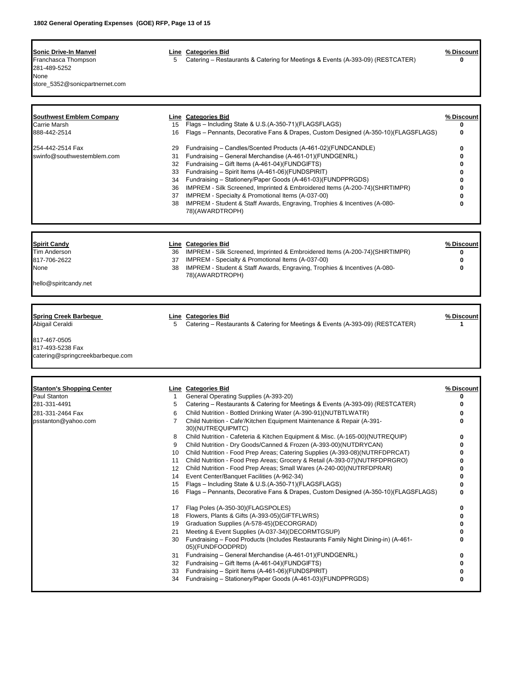| Sonic Drive-In Manvel<br>Franchasca Thompson<br>281-489-5252<br>None<br>store_5352@sonicpartnernet.com                  | 5                                                                                                                               | Line Categories Bid<br>Catering – Restaurants & Catering for Meetings & Events (A-393-09) (RESTCATER)                                                                                                                                                                                                                                                                                                                                                                                                                                                                                                                                                                                                                                                                                                                                                                                                                                                                                                                                                                                                                                                                                                                                                                                                                                                                                                                                         | % Discount<br>0                                                                            |
|-------------------------------------------------------------------------------------------------------------------------|---------------------------------------------------------------------------------------------------------------------------------|-----------------------------------------------------------------------------------------------------------------------------------------------------------------------------------------------------------------------------------------------------------------------------------------------------------------------------------------------------------------------------------------------------------------------------------------------------------------------------------------------------------------------------------------------------------------------------------------------------------------------------------------------------------------------------------------------------------------------------------------------------------------------------------------------------------------------------------------------------------------------------------------------------------------------------------------------------------------------------------------------------------------------------------------------------------------------------------------------------------------------------------------------------------------------------------------------------------------------------------------------------------------------------------------------------------------------------------------------------------------------------------------------------------------------------------------------|--------------------------------------------------------------------------------------------|
| <b>Southwest Emblem Company</b><br>Carrie Marsh<br>888-442-2514<br>254-442-2514 Fax<br>swinfo@southwestemblem.com       | 15<br>16<br>29<br>31<br>32<br>33<br>34<br>36<br>37<br>38                                                                        | Line Categories Bid<br>Flags - Including State & U.S.(A-350-71)(FLAGSFLAGS)<br>Flags - Pennants, Decorative Fans & Drapes, Custom Designed (A-350-10)(FLAGSFLAGS)<br>Fundraising - Candles/Scented Products (A-461-02)(FUNDCANDLE)<br>Fundraising - General Merchandise (A-461-01)(FUNDGENRL)<br>Fundraising - Gift Items (A-461-04)(FUNDGIFTS)<br>Fundraising - Spirit Items (A-461-06)(FUNDSPIRIT)<br>Fundraising - Stationery/Paper Goods (A-461-03)(FUNDPPRGDS)<br>IMPREM - Silk Screened, Imprinted & Embroidered Items (A-200-74)(SHIRTIMPR)<br>IMPREM - Specialty & Promotional Items (A-037-00)<br>IMPREM - Student & Staff Awards, Engraving, Trophies & Incentives (A-080-<br>78)(AWARDTROPH)                                                                                                                                                                                                                                                                                                                                                                                                                                                                                                                                                                                                                                                                                                                                       | % Discount<br>0<br>0<br>0<br>0<br>0<br>0<br>0<br>0<br>0                                    |
| <b>Spirit Candy</b><br><b>Tim Anderson</b><br>817-706-2622<br>None<br>hello@spiritcandy.net                             | 36<br>37<br>38                                                                                                                  | Line Categories Bid<br>IMPREM - Silk Screened, Imprinted & Embroidered Items (A-200-74)(SHIRTIMPR)<br>IMPREM - Specialty & Promotional Items (A-037-00)<br>IMPREM - Student & Staff Awards, Engraving, Trophies & Incentives (A-080-<br>78)(AWARDTROPH)                                                                                                                                                                                                                                                                                                                                                                                                                                                                                                                                                                                                                                                                                                                                                                                                                                                                                                                                                                                                                                                                                                                                                                                       | % Discount<br>0<br>0<br>0                                                                  |
| <b>Spring Creek Barbeque</b><br>Abigail Ceraldi<br>817-467-0505<br>817-493-5238 Fax<br>catering@springcreekbarbeque.com | 5                                                                                                                               | Line Categories Bid<br>Catering – Restaurants & Catering for Meetings & Events (A-393-09) (RESTCATER)                                                                                                                                                                                                                                                                                                                                                                                                                                                                                                                                                                                                                                                                                                                                                                                                                                                                                                                                                                                                                                                                                                                                                                                                                                                                                                                                         | % Discount<br>1                                                                            |
| <b>Stanton's Shopping Center</b><br>Paul Stanton<br>281-331-4491<br>281-331-2464 Fax<br>psstanton@yahoo.com             | $\mathbf{1}$<br>5<br>6<br>7<br>8<br>9<br>10<br>11<br>12<br>14<br>15<br>16<br>17<br>18<br>19<br>21<br>30<br>31<br>32<br>33<br>34 | Line Categories Bid<br>General Operating Supplies (A-393-20)<br>Catering – Restaurants & Catering for Meetings & Events (A-393-09) (RESTCATER)<br>Child Nutrition - Bottled Drinking Water (A-390-91)(NUTBTLWATR)<br>Child Nutrition - Cafe'/Kitchen Equipment Maintenance & Repair (A-391-<br>30)(NUTREQUIPMTC)<br>Child Nutrition - Cafeteria & Kitchen Equipment & Misc. (A-165-00)(NUTREQUIP)<br>Child Nutrition - Dry Goods/Canned & Frozen (A-393-00)(NUTDRYCAN)<br>Child Nutrition - Food Prep Areas; Catering Supplies (A-393-08)(NUTRFDPRCAT)<br>Child Nutrition - Food Prep Areas; Grocery & Retail (A-393-07)(NUTRFDPRGRO)<br>Child Nutrition - Food Prep Areas; Small Wares (A-240-00) (NUTRFDPRAR)<br>Event Center/Banquet Facilities (A-962-34)<br>Flags - Including State & U.S.(A-350-71)(FLAGSFLAGS)<br>Flags - Pennants, Decorative Fans & Drapes, Custom Designed (A-350-10)(FLAGSFLAGS)<br>Flag Poles (A-350-30)(FLAGSPOLES)<br>Flowers, Plants & Gifts (A-393-05) (GIFTFLWRS)<br>Graduation Supplies (A-578-45)(DECORGRAD)<br>Meeting & Event Supplies (A-037-34)(DECORMTGSUP)<br>Fundraising - Food Products (Includes Restaurants Family Night Dining-in) (A-461-<br>05)(FUNDFOODPRD)<br>Fundraising - General Merchandise (A-461-01)(FUNDGENRL)<br>Fundraising – Gift Items (A-461-04)(FUNDGIFTS)<br>Fundraising - Spirit Items (A-461-06)(FUNDSPIRIT)<br>Fundraising - Stationery/Paper Goods (A-461-03)(FUNDPPRGDS) | % Discount<br>0<br>0<br>0<br>Λ<br>0<br>0<br>0<br>0<br>0<br>0<br>0<br>0<br>0<br>0<br>0<br>0 |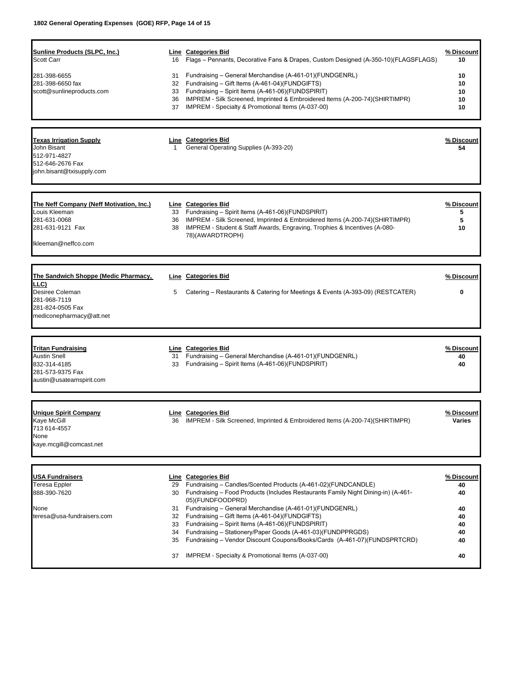| Sunline Products (SLPC, Inc.)<br>Scott Carr                                                                      | 16             | Line Categories Bid<br>Flags - Pennants, Decorative Fans & Drapes, Custom Designed (A-350-10)(FLAGSFLAGS)                                                                                                                                                                                                | % Discount<br>10                  |
|------------------------------------------------------------------------------------------------------------------|----------------|----------------------------------------------------------------------------------------------------------------------------------------------------------------------------------------------------------------------------------------------------------------------------------------------------------|-----------------------------------|
| 281-398-6655<br>281-398-6650 fax<br>scott@sunlineproducts.com                                                    | 31<br>33<br>36 | Fundraising - General Merchandise (A-461-01)(FUNDGENRL)<br>32 Fundraising - Gift Items (A-461-04)(FUNDGIFTS)<br>Fundraising - Spirit Items (A-461-06)(FUNDSPIRIT)<br>IMPREM - Silk Screened, Imprinted & Embroidered Items (A-200-74)(SHIRTIMPR)<br>37 IMPREM - Specialty & Promotional Items (A-037-00) | 10<br>10<br>10<br>10<br>10        |
|                                                                                                                  |                |                                                                                                                                                                                                                                                                                                          |                                   |
| <b>Texas Irrigation Supply</b><br>John Bisant<br>512-971-4827<br>512-646-2676 Fax<br>john.bisant@txisupply.com   | $\mathbf{1}$   | Line Categories Bid<br>General Operating Supplies (A-393-20)                                                                                                                                                                                                                                             | % Discount<br>54                  |
|                                                                                                                  |                |                                                                                                                                                                                                                                                                                                          |                                   |
| The Neff Company (Neff Motivation, Inc.)<br>Louis Kleeman<br>281-631-0068<br>281-631-9121 Fax                    |                | Line Categories Bid<br>33 Fundraising - Spirit Items (A-461-06)(FUNDSPIRIT)<br>36 IMPREM - Silk Screened, Imprinted & Embroidered Items (A-200-74)(SHIRTIMPR)<br>38 IMPREM - Student & Staff Awards, Engraving, Trophies & Incentives (A-080-                                                            | <u>% Discount</u><br>5<br>5<br>10 |
| Ikleeman@neffco.com                                                                                              |                | 78)(AWARDTROPH)                                                                                                                                                                                                                                                                                          |                                   |
|                                                                                                                  |                |                                                                                                                                                                                                                                                                                                          |                                   |
| <u>The Sandwich Shoppe (Medic Pharmacy,</u>                                                                      |                | Line Categories Bid                                                                                                                                                                                                                                                                                      | % Discount                        |
| LLC)<br>Desiree Coleman<br>281-968-7119<br>281-824-0505 Fax<br>mediconepharmacy@att.net                          | 5              | Catering – Restaurants & Catering for Meetings & Events (A-393-09) (RESTCATER)                                                                                                                                                                                                                           | 0                                 |
|                                                                                                                  |                |                                                                                                                                                                                                                                                                                                          |                                   |
| <b>Tritan Fundraising</b><br><b>Austin Snell</b><br>832-314-4185<br>281-573-9375 Fax<br>austin@usateamspirit.com | 31<br>33       | Line Categories Bid<br>Fundraising - General Merchandise (A-461-01)(FUNDGENRL)<br>Fundraising - Spirit Items (A-461-06)(FUNDSPIRIT)                                                                                                                                                                      | % Discount<br>40<br>40            |
|                                                                                                                  |                |                                                                                                                                                                                                                                                                                                          |                                   |
| Unique Spirit Company<br>Kaye McGill<br>713 614-4557<br>None<br>kaye.mcgill@comcast.net                          |                | Line Categories Bid<br>36 IMPREM - Silk Screened, Imprinted & Embroidered Items (A-200-74) (SHIRTIMPR)                                                                                                                                                                                                   | % Discount<br><b>Varies</b>       |
|                                                                                                                  |                |                                                                                                                                                                                                                                                                                                          |                                   |
| USA Fundraisers                                                                                                  |                | Line Categories Bid                                                                                                                                                                                                                                                                                      | % Discount                        |
| <b>Teresa Eppler</b><br>888-390-7620                                                                             | 29             | Fundraising – Candles/Scented Products (A-461-02)(FUNDCANDLE)<br>30 Fundraising - Food Products (Includes Restaurants Family Night Dining-in) (A-461-<br>05)(FUNDFOODPRD)                                                                                                                                | 40<br>40                          |
| None                                                                                                             | 31             | Fundraising - General Merchandise (A-461-01)(FUNDGENRL)                                                                                                                                                                                                                                                  | 40                                |
| teresa@usa-fundraisers.com                                                                                       | 32<br>33       | Fundraising - Gift Items (A-461-04)(FUNDGIFTS)<br>Fundraising - Spirit Items (A-461-06)(FUNDSPIRIT)                                                                                                                                                                                                      | 40<br>40                          |
|                                                                                                                  | 34             | Fundraising - Stationery/Paper Goods (A-461-03)(FUNDPPRGDS)                                                                                                                                                                                                                                              | 40                                |
|                                                                                                                  | 35             | Fundraising - Vendor Discount Coupons/Books/Cards (A-461-07)(FUNDSPRTCRD)                                                                                                                                                                                                                                | 40                                |
|                                                                                                                  | 37             | IMPREM - Specialty & Promotional Items (A-037-00)                                                                                                                                                                                                                                                        | 40                                |